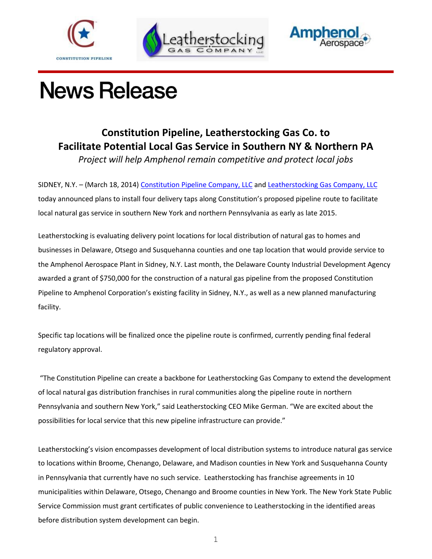





## **News Release**

## **Constitution Pipeline, Leatherstocking Gas Co. to Facilitate Potential Local Gas Service in Southern NY & Northern PA**

*Project will help Amphenol remain competitive and protect local jobs*

SIDNEY, N.Y. – (March 18, 2014) [Constitution Pipeline Company, LLC](http://constitutionpipeline.com/) an[d Leatherstocking Gas Company, LLC](http://www.leatherstockinggas.com/) today announced plans to install four delivery taps along Constitution's proposed pipeline route to facilitate local natural gas service in southern New York and northern Pennsylvania as early as late 2015.

Leatherstocking is evaluating delivery point locations for local distribution of natural gas to homes and businesses in Delaware, Otsego and Susquehanna counties and one tap location that would provide service to the Amphenol Aerospace Plant in Sidney, N.Y. Last month, the Delaware County Industrial Development Agency awarded a grant of \$750,000 for the construction of a natural gas pipeline from the proposed Constitution Pipeline to Amphenol Corporation's existing facility in Sidney, N.Y., as well as a new planned manufacturing facility.

Specific tap locations will be finalized once the pipeline route is confirmed, currently pending final federal regulatory approval.

"The Constitution Pipeline can create a backbone for Leatherstocking Gas Company to extend the development of local natural gas distribution franchises in rural communities along the pipeline route in northern Pennsylvania and southern New York," said Leatherstocking CEO Mike German. "We are excited about the possibilities for local service that this new pipeline infrastructure can provide."

Leatherstocking's vision encompasses development of local distribution systems to introduce natural gas service to locations within Broome, Chenango, Delaware, and Madison counties in New York and Susquehanna County in Pennsylvania that currently have no such service. Leatherstocking has franchise agreements in 10 municipalities within Delaware, Otsego, Chenango and Broome counties in New York. The New York State Public Service Commission must grant certificates of public convenience to Leatherstocking in the identified areas before distribution system development can begin.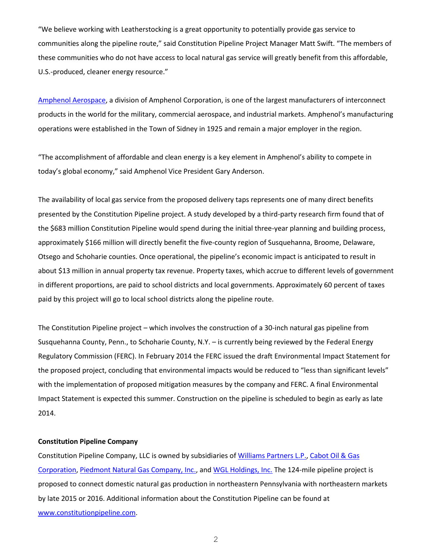"We believe working with Leatherstocking is a great opportunity to potentially provide gas service to communities along the pipeline route," said Constitution Pipeline Project Manager Matt Swift. "The members of these communities who do not have access to local natural gas service will greatly benefit from this affordable, U.S.-produced, cleaner energy resource."

[Amphenol Aerospace,](http://www.amphenol-aerospace.com/) a division of Amphenol Corporation, is one of the largest manufacturers of interconnect products in the world for the military, commercial aerospace, and industrial markets. Amphenol's manufacturing operations were established in the Town of Sidney in 1925 and remain a major employer in the region.

"The accomplishment of affordable and clean energy is a key element in Amphenol's ability to compete in today's global economy," said Amphenol Vice President Gary Anderson.

The availability of local gas service from the proposed delivery taps represents one of many direct benefits presented by the Constitution Pipeline project. A study developed by a third-party research firm found that of the \$683 million Constitution Pipeline would spend during the initial three-year planning and building process, approximately \$166 million will directly benefit the five-county region of Susquehanna, Broome, Delaware, Otsego and Schoharie counties. Once operational, the pipeline's economic impact is anticipated to result in about \$13 million in annual property tax revenue. Property taxes, which accrue to different levels of government in different proportions, are paid to school districts and local governments. Approximately 60 percent of taxes paid by this project will go to local school districts along the pipeline route.

The Constitution Pipeline project – which involves the construction of a 30-inch natural gas pipeline from Susquehanna County, Penn., to Schoharie County, N.Y. – is currently being reviewed by the Federal Energy Regulatory Commission (FERC). In February 2014 the FERC issued the draft Environmental Impact Statement for the proposed project, concluding that environmental impacts would be reduced to "less than significant levels" with the implementation of proposed mitigation measures by the company and FERC. A final Environmental Impact Statement is expected this summer. Construction on the pipeline is scheduled to begin as early as late 2014.

## **Constitution Pipeline Company**

Constitution Pipeline Company, LLC is owned by subsidiaries of [Williams Partners L.P.,](http://www.williamslp.com/) [Cabot Oil & Gas](http://www.cabotog.com/)  [Corporation,](http://www.cabotog.com/) [Piedmont Natural Gas Company, Inc.,](http://www.piedmontng.com/) and [WGL Holdings, Inc.](http://www.wglholdings.com/) The 124-mile pipeline project is proposed to connect domestic natural gas production in northeastern Pennsylvania with northeastern markets by late 2015 or 2016. Additional information about the Constitution Pipeline can be found at [www.constitutionpipeline.com.](http://www.constitutionpipeline.com/)

2